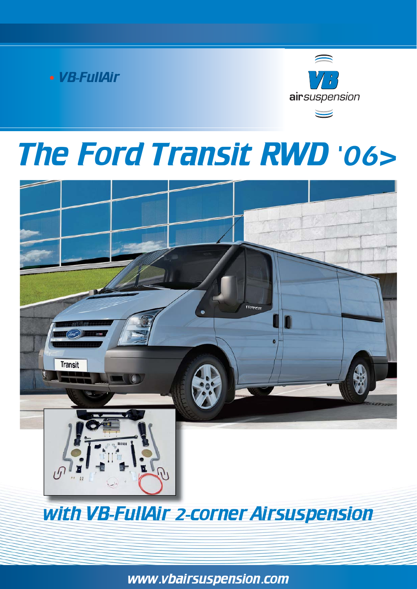



# The Ford Transit RWD '06>



with VB-FullAir 2-corner Airsuspension

www.vbairsuspension.com